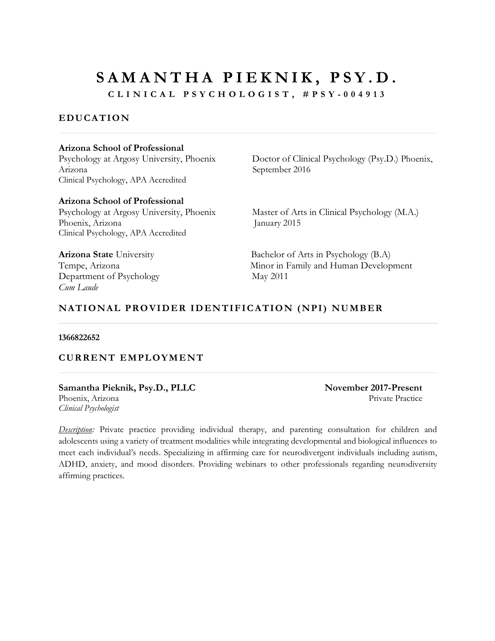**CLINICAL PSYCHOLOGIS T, # PSY - 0 0 4913**

# **EDUCATION**

#### **Arizona School of Professional**

Arizona September 2016 Clinical Psychology, APA Accredited

**Arizona School of Professional**  Phoenix, Arizona January 2015 Clinical Psychology, APA Accredited

Department of Psychology May 2011 *Cum Laude*

Psychology at Argosy University, Phoenix Doctor of Clinical Psychology (Psy.D.) Phoenix,

Psychology at Argosy University, Phoenix Master of Arts in Clinical Psychology (M.A.)

**Arizona State** University Bachelor of Arts in Psychology (B.A) Tempe, Arizona **Minor** in Family and Human Development

### **NATIONAL PROVIDER IDENTIFICATION (NPI) NUMBER**

#### **1366822652**

#### **CURRENT EMPLOYMENT**

**Samantha Pieknik, Psy.D., PLLC November 2017-Present** Phoenix, Arizona **Private Practice** Private Practice **Private Practice** *Clinical Psychologist*

*Description:* Private practice providing individual therapy, and parenting consultation for children and adolescents using a variety of treatment modalities while integrating developmental and biological influences to meet each individual's needs. Specializing in affirming care for neurodivergent individuals including autism, ADHD, anxiety, and mood disorders. Providing webinars to other professionals regarding neurodiversity affirming practices.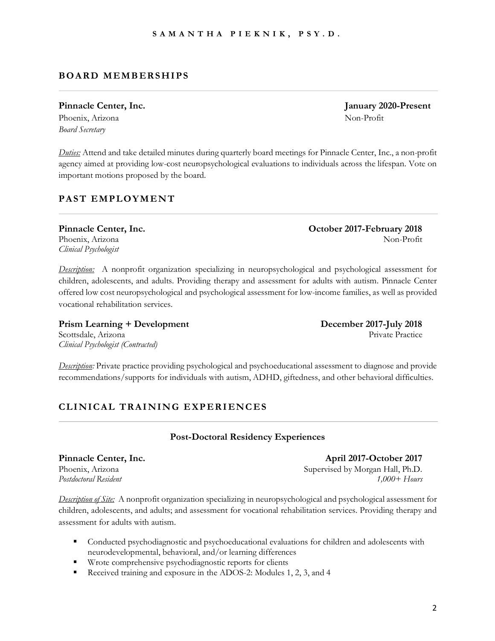# **BOARD MEMBERSHIPS**

# Pinnacle Center, Inc. *January 2020-Present*

Phoenix, Arizona Non-Profit *Board Secretary*

*Duties:* Attend and take detailed minutes during quarterly board meetings for Pinnacle Center, Inc., a non-profit agency aimed at providing low-cost neuropsychological evaluations to individuals across the lifespan. Vote on important motions proposed by the board.

# **PAST EMPLOYMENT**

*Clinical Psychologist* 

*Description:* A nonprofit organization specializing in neuropsychological and psychological assessment for children, adolescents, and adults. Providing therapy and assessment for adults with autism. Pinnacle Center offered low cost neuropsychological and psychological assessment for low-income families, as well as provided vocational rehabilitation services.

Prism Learning + Development<br> **December 2017-July 2018** Scottsdale, Arizona Private Practice *Clinical Psychologist (Contracted)*

*Description:* Private practice providing psychological and psychoeducational assessment to diagnose and provide recommendations/supports for individuals with autism, ADHD, giftedness, and other behavioral difficulties.

# **CLINICAL TRAINING EXPERIENCES**

### **Post-Doctoral Residency Experiences**

#### **Pinnacle Center, Inc. April 2017-October 2017** Phoenix, Arizona **Supervised by Morgan Hall, Ph.D.** *Postdoctoral Resident 1,000+ Hours*

*Description of Site:* A nonprofit organization specializing in neuropsychological and psychological assessment for children, adolescents, and adults; and assessment for vocational rehabilitation services. Providing therapy and assessment for adults with autism.

- § Conducted psychodiagnostic and psychoeducational evaluations for children and adolescents with neurodevelopmental, behavioral, and/or learning differences
- § Wrote comprehensive psychodiagnostic reports for clients
- Received training and exposure in the ADOS-2: Modules 1, 2, 3, and 4

**Pinnacle Center, Inc. October 2017-February 2018** Phoenix, Arizona Non-Profit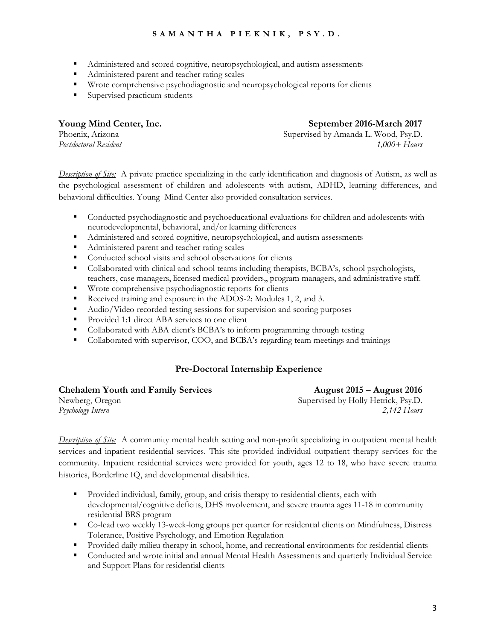- § Administered and scored cognitive, neuropsychological, and autism assessments
- Administered parent and teacher rating scales
- § Wrote comprehensive psychodiagnostic and neuropsychological reports for clients
- Supervised practicum students

#### **Young Mind Center, Inc. September 2016-March 2017**

Phoenix, Arizona Supervised by Amanda L. Wood, Psy.D. *Postdoctoral Resident 1,000+ Hours*

*Description of Site:* A private practice specializing in the early identification and diagnosis of Autism, as well as the psychological assessment of children and adolescents with autism, ADHD, learning differences, and behavioral difficulties. Young Mind Center also provided consultation services.

- Conducted psychodiagnostic and psychoeducational evaluations for children and adolescents with neurodevelopmental, behavioral, and/or learning differences
- § Administered and scored cognitive, neuropsychological, and autism assessments
- § Administered parent and teacher rating scales
- Conducted school visits and school observations for clients
- Collaborated with clinical and school teams including therapists, BCBA's, school psychologists, teachers, case managers, licensed medical providers,, program managers, and administrative staff.
- Wrote comprehensive psychodiagnostic reports for clients
- Received training and exposure in the ADOS-2: Modules 1, 2, and 3.
- Audio/Video recorded testing sessions for supervision and scoring purposes
- Provided 1:1 direct ABA services to one client
- Collaborated with ABA client's BCBA's to inform programming through testing
- § Collaborated with supervisor, COO, and BCBA's regarding team meetings and trainings

#### **Pre-Doctoral Internship Experience**

**Chehalem Youth and Family Services August 2015 – August 2016** Newberg, Oregon Supervised by Holly Hetrick, Psy.D. *Psychology Intern 2,142 Hours*

*Description of Site:* A community mental health setting and non-profit specializing in outpatient mental health services and inpatient residential services. This site provided individual outpatient therapy services for the community. Inpatient residential services were provided for youth, ages 12 to 18, who have severe trauma histories, Borderline IQ, and developmental disabilities.

- § Provided individual, family, group, and crisis therapy to residential clients, each with developmental/cognitive deficits, DHS involvement, and severe trauma ages 11-18 in community residential BRS program
- Co-lead two weekly 13-week-long groups per quarter for residential clients on Mindfulness, Distress Tolerance, Positive Psychology, and Emotion Regulation
- Provided daily milieu therapy in school, home, and recreational environments for residential clients
- Conducted and wrote initial and annual Mental Health Assessments and quarterly Individual Service and Support Plans for residential clients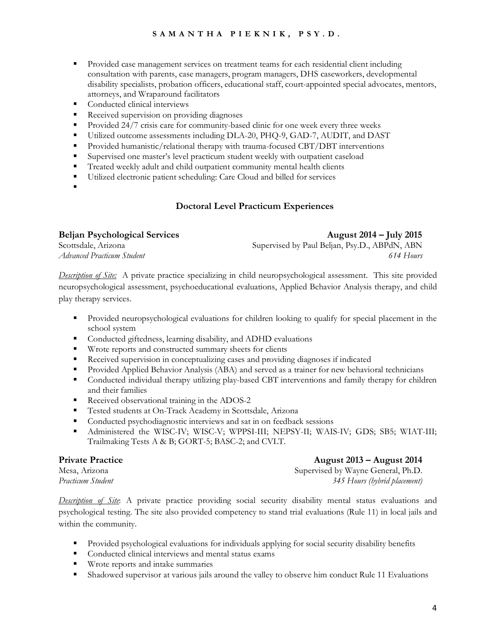- § Provided case management services on treatment teams for each residential client including consultation with parents, case managers, program managers, DHS caseworkers, developmental disability specialists, probation officers, educational staff, court-appointed special advocates, mentors, attorneys, and Wraparound facilitators
- Conducted clinical interviews
- Received supervision on providing diagnoses
- § Provided 24/7 crisis care for community-based clinic for one week every three weeks
- § Utilized outcome assessments including DLA-20, PHQ-9, GAD-7, AUDIT, and DAST
- § Provided humanistic/relational therapy with trauma-focused CBT/DBT interventions
- § Supervised one master's level practicum student weekly with outpatient caseload
- Treated weekly adult and child outpatient community mental health clients
- § Utilized electronic patient scheduling: Care Cloud and billed for services
- §

#### **Doctoral Level Practicum Experiences**

| <b>Beljan Psychological Services</b> | August 2014 – July 2015                       |
|--------------------------------------|-----------------------------------------------|
| Scottsdale, Arizona                  | Supervised by Paul Beljan, Psy.D., ABPdN, ABN |
| Advanced Practicum Student           | 614 Hours                                     |

*Description of Site:* A private practice specializing in child neuropsychological assessment. This site provided neuropsychological assessment, psychoeducational evaluations, Applied Behavior Analysis therapy, and child play therapy services.

- Provided neuropsychological evaluations for children looking to qualify for special placement in the school system
- Conducted giftedness, learning disability, and ADHD evaluations
- Wrote reports and constructed summary sheets for clients
- Received supervision in conceptualizing cases and providing diagnoses if indicated
- Provided Applied Behavior Analysis (ABA) and served as a trainer for new behavioral technicians
- Conducted individual therapy utilizing play-based CBT interventions and family therapy for children and their families
- Received observational training in the ADOS-2
- Tested students at On-Track Academy in Scottsdale, Arizona
- Conducted psychodiagnostic interviews and sat in on feedback sessions
- § Administered the WISC-IV; WISC-V; WPPSI-III; NEPSY-II; WAIS-IV; GDS; SB5; WIAT-III; Trailmaking Tests A & B; GORT-5; BASC-2; and CVLT.

#### **Private Practice August 2013 – August 2014**

Mesa, Arizona Supervised by Wayne General, Ph.D. *Practicum Student 345 Hours (hybrid placement)*

*Description of Site*: A private practice providing social security disability mental status evaluations and psychological testing. The site also provided competency to stand trial evaluations (Rule 11) in local jails and within the community.

- § Provided psychological evaluations for individuals applying for social security disability benefits
- Conducted clinical interviews and mental status exams
- Wrote reports and intake summaries
- § Shadowed supervisor at various jails around the valley to observe him conduct Rule 11 Evaluations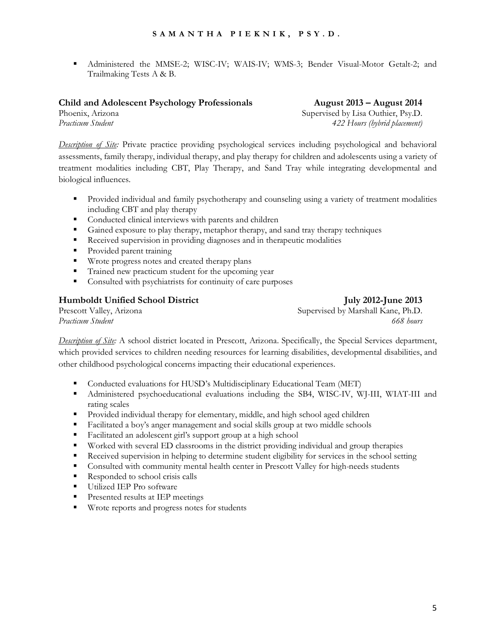§ Administered the MMSE-2; WISC-IV; WAIS-IV; WMS-3; Bender Visual-Motor Getalt-2; and Trailmaking Tests A & B.

#### **Child and Adolescent Psychology Professionals August 2013 – August 2014**

Phoenix, Arizona **Supervised by Lisa Outhier, Psy.D.** *Practicum Student 422 Hours (hybrid placement)*

*Description of Site:* Private practice providing psychological services including psychological and behavioral assessments, family therapy, individual therapy, and play therapy for children and adolescents using a variety of treatment modalities including CBT, Play Therapy, and Sand Tray while integrating developmental and biological influences.

- § Provided individual and family psychotherapy and counseling using a variety of treatment modalities including CBT and play therapy
- Conducted clinical interviews with parents and children
- Gained exposure to play therapy, metaphor therapy, and sand tray therapy techniques
- Received supervision in providing diagnoses and in therapeutic modalities
- Provided parent training
- § Wrote progress notes and created therapy plans
- § Trained new practicum student for the upcoming year
- Consulted with psychiatrists for continuity of care purposes

#### **Humboldt Unified School District July 2012-June 2013**

Prescott Valley, Arizona **Supervised by Marshall Kane, Ph.D.** Supervised by Marshall Kane, Ph.D. *Practicum Student 668 hours*

*Description of Site:* A school district located in Prescott, Arizona. Specifically, the Special Services department, which provided services to children needing resources for learning disabilities, developmental disabilities, and other childhood psychological concerns impacting their educational experiences.

- § Conducted evaluations for HUSD's Multidisciplinary Educational Team (MET)
- § Administered psychoeducational evaluations including the SB4, WISC-IV, WJ-III, WIAT-III and rating scales
- § Provided individual therapy for elementary, middle, and high school aged children
- § Facilitated a boy's anger management and social skills group at two middle schools
- Facilitated an adolescent girl's support group at a high school
- § Worked with several ED classrooms in the district providing individual and group therapies
- Received supervision in helping to determine student eligibility for services in the school setting
- Consulted with community mental health center in Prescott Valley for high-needs students
- Responded to school crisis calls
- Utilized IEP Pro software
- Presented results at IEP meetings
- Wrote reports and progress notes for students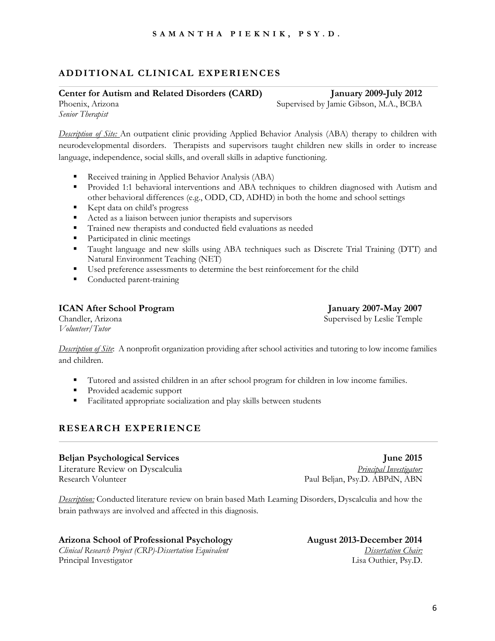### **ADDITIONAL CLINICAL EXPERIENCES**

#### **Center for Autism and Related Disorders (CARD) January 2009-July 2012**

Phoenix, Arizona Supervised by Jamie Gibson, M.A., BCBA

*Senior Therapist*

*Description of Site:* An outpatient clinic providing Applied Behavior Analysis (ABA) therapy to children with neurodevelopmental disorders. Therapists and supervisors taught children new skills in order to increase language, independence, social skills, and overall skills in adaptive functioning.

- Received training in Applied Behavior Analysis (ABA)
- § Provided 1:1 behavioral interventions and ABA techniques to children diagnosed with Autism and other behavioral differences (e.g., ODD, CD, ADHD) in both the home and school settings
- Kept data on child's progress
- Acted as a liaison between junior therapists and supervisors
- § Trained new therapists and conducted field evaluations as needed
- Participated in clinic meetings
- § Taught language and new skills using ABA techniques such as Discrete Trial Training (DTT) and Natural Environment Teaching (NET)
- § Used preference assessments to determine the best reinforcement for the child
- Conducted parent-training

#### **ICAN After School Program January 2007-May 2007**

Chandler, Arizona Supervised by Leslie Temple

*Volunteer/Tutor*

*Description of Site*: A nonprofit organization providing after school activities and tutoring to low income families and children.

- § Tutored and assisted children in an after school program for children in low income families.
- Provided academic support
- Facilitated appropriate socialization and play skills between students

### **RESEARCH EXPERIENCE**

#### **Beljan Psychological Services June 2015**

Literature Review on Dyscalculia *Principal Investigator:* Research Volunteer Paul Beljan, Psy.D. ABPdN, ABN

*Description:* Conducted literature review on brain based Math Learning Disorders, Dyscalculia and how the brain pathways are involved and affected in this diagnosis.

#### **Arizona School of Professional Psychology August 2013-December 2014**

*Clinical Research Project (CRP)-Dissertation Equivalent Dissertation Chair:* Principal Investigator Lisa Outhier, Psy.D.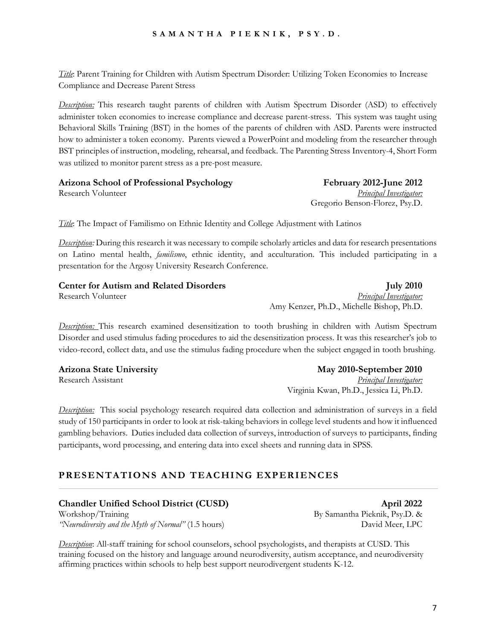*Title*: Parent Training for Children with Autism Spectrum Disorder: Utilizing Token Economies to Increase Compliance and Decrease Parent Stress

*Description:* This research taught parents of children with Autism Spectrum Disorder (ASD) to effectively administer token economies to increase compliance and decrease parent-stress. This system was taught using Behavioral Skills Training (BST) in the homes of the parents of children with ASD. Parents were instructed how to administer a token economy. Parents viewed a PowerPoint and modeling from the researcher through BST principles of instruction, modeling, rehearsal, and feedback. The Parenting Stress Inventory-4, Short Form was utilized to monitor parent stress as a pre-post measure.

**Arizona School of Professional Psychology February 2012-June 2012** Research Volunteer *Principal Investigator:*  Gregorio Benson-Florez, Psy.D.

*Title*: The Impact of Familismo on Ethnic Identity and College Adjustment with Latinos

*Description:* During this research it was necessary to compile scholarly articles and data for research presentations on Latino mental health, *familismo*, ethnic identity, and acculturation. This included participating in a presentation for the Argosy University Research Conference.

| <b>Center for Autism and Related Disorders</b> | <b>July 2010</b>                          |
|------------------------------------------------|-------------------------------------------|
| Research Volunteer                             | <b>Principal Investigator:</b>            |
|                                                | Amy Kenzer, Ph.D., Michelle Bishop, Ph.D. |

*Description:* This research examined desensitization to tooth brushing in children with Autism Spectrum Disorder and used stimulus fading procedures to aid the desensitization process. It was this researcher's job to video-record, collect data, and use the stimulus fading procedure when the subject engaged in tooth brushing.

**Arizona State University May 2010-September 2010** Research Assistant *Principal Investigator:*

*Description:* This social psychology research required data collection and administration of surveys in a field study of 150 participants in order to look at risk-taking behaviors in college level students and how it influenced gambling behaviors. Duties included data collection of surveys, introduction of surveys to participants, finding participants, word processing, and entering data into excel sheets and running data in SPSS.

### **PRESENTATIONS AND TEACHING EXPERIENCES**

**Chandler Unified School District (CUSD) April 2022** Workshop/Training By Samantha Pieknik, Psy.D. &

*"Neurodiversity and the Myth of Normal"* (1.5 hours) David Meer, LPC

*Description*: All-staff training for school counselors, school psychologists, and therapists at CUSD. This training focused on the history and language around neurodiversity, autism acceptance, and neurodiversity affirming practices within schools to help best support neurodivergent students K-12.

Virginia Kwan, Ph.D., Jessica Li, Ph.D.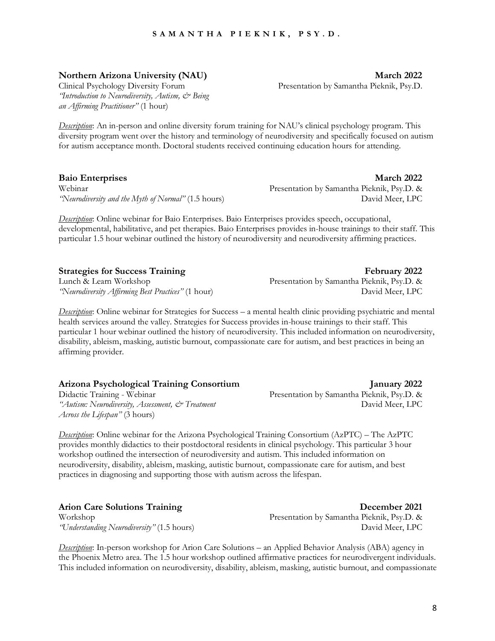8

#### **SAMANTHA PIEKNIK, PS Y.D.**

**Northern Arizona University (NAU) March 2022** 

*'Introduction to Neurodiversity, Autism,*  $\dot{\mathcal{O}}$  *Being an Affirming Practitioner"* (1 hour)

*Description*: An in-person and online diversity forum training for NAU's clinical psychology program. This diversity program went over the history and terminology of neurodiversity and specifically focused on autism for autism acceptance month. Doctoral students received continuing education hours for attending.

**Baio Enterprises March 2022** Webinar Presentation by Samantha Pieknik, Psy.D. & *"Neurodiversity and the Myth of Normal"* (1.5 hours) David Meer, LPC

*Description*: Online webinar for Baio Enterprises. Baio Enterprises provides speech, occupational, developmental, habilitative, and pet therapies. Baio Enterprises provides in-house trainings to their staff. This particular 1.5 hour webinar outlined the history of neurodiversity and neurodiversity affirming practices.

Lunch & Learn Workshop Presentation by Samantha Pieknik, Psy.D. &

*Description*: Online webinar for Strategies for Success – a mental health clinic providing psychiatric and mental health services around the valley. Strategies for Success provides in-house trainings to their staff. This particular 1 hour webinar outlined the history of neurodiversity. This included information on neurodiversity, disability, ableism, masking, autistic burnout, compassionate care for autism, and best practices in being an affirming provider.

| Arizona Psychological Training Consortium |  |  |  |  |
|-------------------------------------------|--|--|--|--|
|                                           |  |  |  |  |

*"Autism: Neurodiversity, Assessment, & Treatment* David Meer, LPC *Across the Lifespan"* (3 hours)

*Description*: Online webinar for the Arizona Psychological Training Consortium (AzPTC) – The AzPTC provides monthly didactics to their postdoctoral residents in clinical psychology. This particular 3 hour workshop outlined the intersection of neurodiversity and autism. This included information on neurodiversity, disability, ableism, masking, autistic burnout, compassionate care for autism, and best practices in diagnosing and supporting those with autism across the lifespan.

**Arion Care Solutions Training December 2021**

*Description*: In-person workshop for Arion Care Solutions – an Applied Behavior Analysis (ABA) agency in the Phoenix Metro area. The 1.5 hour workshop outlined affirmative practices for neurodivergent individuals. This included information on neurodiversity, disability, ableism, masking, autistic burnout, and compassionate

**Strategies for Success Training**  February 2022 *"Neurodiversity Affirming Best Practices"* (1 hour) David Meer, LPC

**Arizona Psychological Training Consortium January 2022** Presentation by Samantha Pieknik, Psy.D. &

# Clinical Psychology Diversity Forum Presentation by Samantha Pieknik, Psy.D.

Workshop Presentation by Samantha Pieknik, Psy.D. & *"Understanding Neurodiversity"* (1.5 hours) David Meer, LPC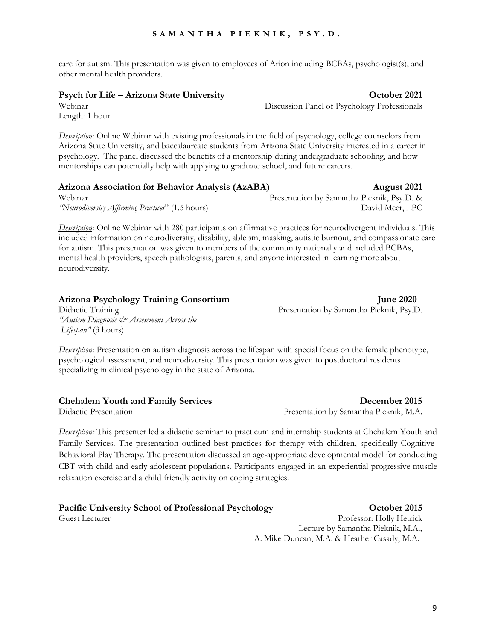care for autism. This presentation was given to employees of Arion including BCBAs, psychologist(s), and other mental health providers.

#### **Psych for Life – Arizona State University October 2021**

Webinar Discussion Panel of Psychology Professionals

Length: 1 hour

*Description*: Online Webinar with existing professionals in the field of psychology, college counselors from Arizona State University, and baccalaureate students from Arizona State University interested in a career in psychology. The panel discussed the benefits of a mentorship during undergraduate schooling, and how mentorships can potentially help with applying to graduate school, and future careers.

| Arizona Association for Behavior Analysis (AzABA) | August 2021                                |
|---------------------------------------------------|--------------------------------------------|
| Webinar                                           | Presentation by Samantha Pieknik, Psy.D. & |
| "Neurodiversity Affirming Practices" (1.5 hours)  | David Meer, LPC                            |

*Description*: Online Webinar with 280 participants on affirmative practices for neurodivergent individuals. This included information on neurodiversity, disability, ableism, masking, autistic burnout, and compassionate care for autism. This presentation was given to members of the community nationally and included BCBAs, mental health providers, speech pathologists, parents, and anyone interested in learning more about neurodiversity.

| Arizona Psychology Training Consortium    | <b>June 2020</b>                         |
|-------------------------------------------|------------------------------------------|
| Didactic Training                         | Presentation by Samantha Pieknik, Psy.D. |
| "Autism Diagnosis & Assessment Across the |                                          |
| Lifespan" (3 hours)                       |                                          |

*Description*: Presentation on autism diagnosis across the lifespan with special focus on the female phenotype, psychological assessment, and neurodiversity. This presentation was given to postdoctoral residents specializing in clinical psychology in the state of Arizona.

#### **Chehalem Youth and Family Services December 2015**

*Description:* This presenter led a didactic seminar to practicum and internship students at Chehalem Youth and Family Services. The presentation outlined best practices for therapy with children, specifically Cognitive-Behavioral Play Therapy. The presentation discussed an age-appropriate developmental model for conducting CBT with child and early adolescent populations. Participants engaged in an experiential progressive muscle relaxation exercise and a child friendly activity on coping strategies.

# **Pacific University School of Professional Psychology October 2015**

Didactic Presentation Presentation by Samantha Pieknik, M.A.

Guest Lecturer **Professor:** Holly Hetrick Lecture by Samantha Pieknik, M.A., A. Mike Duncan, M.A. & Heather Casady, M.A.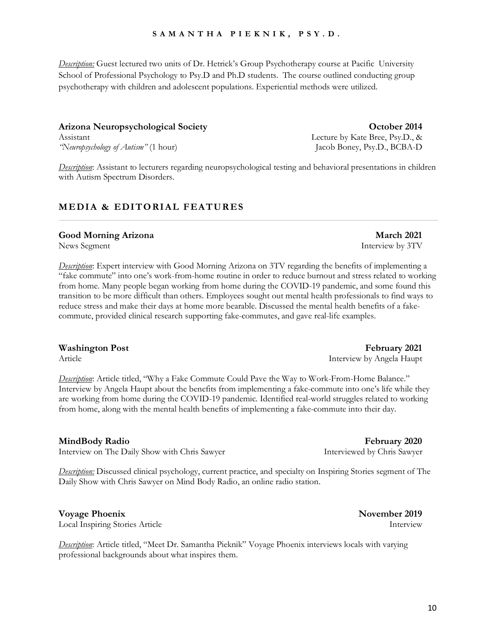*Description:* Guest lectured two units of Dr. Hetrick's Group Psychotherapy course at Pacific University School of Professional Psychology to Psy.D and Ph.D students. The course outlined conducting group psychotherapy with children and adolescent populations. Experiential methods were utilized.

# **Arizona Neuropsychological Society October 2014**

Assistant Lecture by Kate Bree, Psy.D., & *"Neuropsychology of Autism"* (1 hour) Jacob Boney, Psy.D., BCBA-D

*Description*: Assistant to lecturers regarding neuropsychological testing and behavioral presentations in children with Autism Spectrum Disorders.

# **MEDIA & EDITORIAL FEATURES**

### **Good Morning Arizona March 2021**

News Segment Interview by 3TV

*Description*: Expert interview with Good Morning Arizona on 3TV regarding the benefits of implementing a "fake commute" into one's work-from-home routine in order to reduce burnout and stress related to working from home. Many people began working from home during the COVID-19 pandemic, and some found this transition to be more difficult than others. Employees sought out mental health professionals to find ways to reduce stress and make their days at home more bearable. Discussed the mental health benefits of a fakecommute, provided clinical research supporting fake-commutes, and gave real-life examples.

#### **Washington Post February 2021**

*Description*: Article titled, "Why a Fake Commute Could Pave the Way to Work-From-Home Balance." Interview by Angela Haupt about the benefits from implementing a fake-commute into one's life while they are working from home during the COVID-19 pandemic. Identified real-world struggles related to working from home, along with the mental health benefits of implementing a fake-commute into their day.

Interview on The Daily Show with Chris Sawyer Interviewed by Chris Sawyer

*Description:* Discussed clinical psychology, current practice, and specialty on Inspiring Stories segment of The Daily Show with Chris Sawyer on Mind Body Radio, an online radio station.

# **Voyage Phoenix November 2019**

Local Inspiring Stories Article Interview

*Description*: Article titled, "Meet Dr. Samantha Pieknik" Voyage Phoenix interviews locals with varying professional backgrounds about what inspires them.

Article **Interview by Angela Haupt** 

**MindBody Radio February 2020**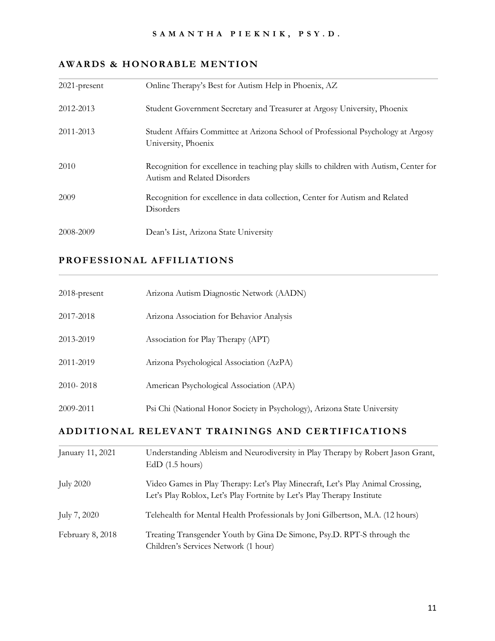## **AWARDS & HONORABLE MENTION**

| $2021$ -present | Online Therapy's Best for Autism Help in Phoenix, AZ                                                                   |
|-----------------|------------------------------------------------------------------------------------------------------------------------|
| 2012-2013       | Student Government Secretary and Treasurer at Argosy University, Phoenix                                               |
| 2011-2013       | Student Affairs Committee at Arizona School of Professional Psychology at Argosy<br>University, Phoenix                |
| 2010            | Recognition for excellence in teaching play skills to children with Autism, Center for<br>Autism and Related Disorders |
| 2009            | Recognition for excellence in data collection, Center for Autism and Related<br>Disorders                              |
| 2008-2009       | Dean's List, Arizona State University                                                                                  |

# **PROFESSIONAL AFFILIATIONS**

| 2018-present                                     | Arizona Autism Diagnostic Network (AADN)                                                             |  |
|--------------------------------------------------|------------------------------------------------------------------------------------------------------|--|
| 2017-2018                                        | Arizona Association for Behavior Analysis                                                            |  |
| 2013-2019                                        | Association for Play Therapy (APT)                                                                   |  |
| 2011-2019                                        | Arizona Psychological Association (AzPA)                                                             |  |
| 2010-2018                                        | American Psychological Association (APA)                                                             |  |
| 2009-2011                                        | Psi Chi (National Honor Society in Psychology), Arizona State University                             |  |
| ADDITIONAL RELEVANT TRAININGS AND CERTIFICATIONS |                                                                                                      |  |
| January 11, 2021                                 | Understanding Ableism and Neurodiversity in Play Therapy by Robert Jason Grant,<br>$EdD$ (1.5 hours) |  |
| <b>July 2020</b>                                 | Video Games in Play Therapy: Let's Play Minecraft, Let's Play Animal Crossing,                       |  |

| July 2020    | video Games in Piay Therapy: Let's Piay Minecraft, Let's Piay Animial Crossing,<br>Let's Play Roblox, Let's Play Fortnite by Let's Play Therapy Institute |
|--------------|-----------------------------------------------------------------------------------------------------------------------------------------------------------|
| July 7, 2020 | Telehealth for Mental Health Professionals by Joni Gilbertson, M.A. (12 hours)                                                                            |

February 8, 2018 Treating Transgender Youth by Gina De Simone, Psy.D. RPT-S through the Children's Services Network (1 hour)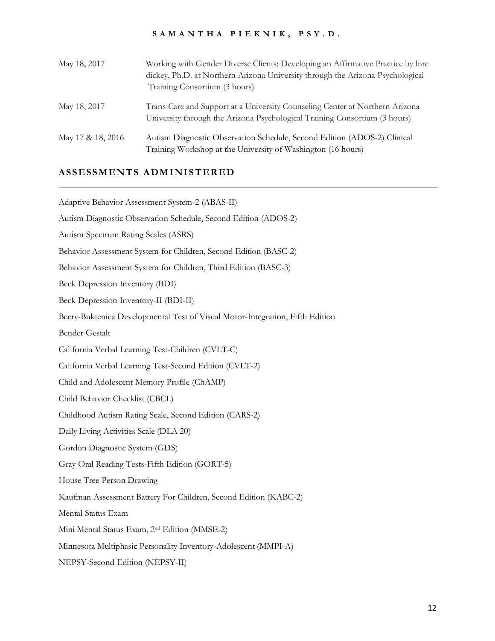| May 18, 2017      | Working with Gender Diverse Clients: Developing an Affirmative Practice by lore<br>dickey, Ph.D. at Northern Arizona University through the Arizona Psychological<br>Training Consortium (3 hours) |
|-------------------|----------------------------------------------------------------------------------------------------------------------------------------------------------------------------------------------------|
| May 18, 2017      | Trans Care and Support at a University Counseling Center at Northern Arizona<br>University through the Arizona Psychological Training Consortium (3 hours)                                         |
| May 17 & 18, 2016 | Autism Diagnostic Observation Schedule, Second Edition (ADOS-2) Clinical<br>Training Workshop at the University of Washington (16 hours)                                                           |

### **ASSESSMENTS ADMINISTERED**

Adaptive Behavior Assessment System-2 (ABAS-II) Autism Diagnostic Observation Schedule, Second Edition (ADOS-2) Autism Spectrum Rating Scales (ASRS) Behavior Assessment System for Children, Second Edition (BASC-2) Behavior Assessment System for Children, Third Edition (BASC-3) Beck Depression Inventory (BDI) Beck Depression Inventory-II (BDI-II) Beery-Buktenica Developmental Test of Visual Motor-Integration, Fifth Edition Bender Gestalt California Verbal Learning Test-Children (CVLT-C) California Verbal Learning Test-Second Edition (CVLT-2) Child and Adolescent Memory Profile (ChAMP) Child Behavior Checklist (CBCL) Childhood Autism Rating Scale, Second Edition (CARS-2) Daily Living Activities Scale (DLA 20) Gordon Diagnostic System (GDS) Gray Oral Reading Tests-Fifth Edition (GORT-5) House Tree Person Drawing Kaufman Assessment Battery For Children, Second Edition (KABC-2) Mental Status Exam Mini Mental Status Exam, 2nd Edition (MMSE-2) Minnesota Multiphasic Personality Inventory-Adolescent (MMPI-A) NEPSY-Second Edition (NEPSY-II)